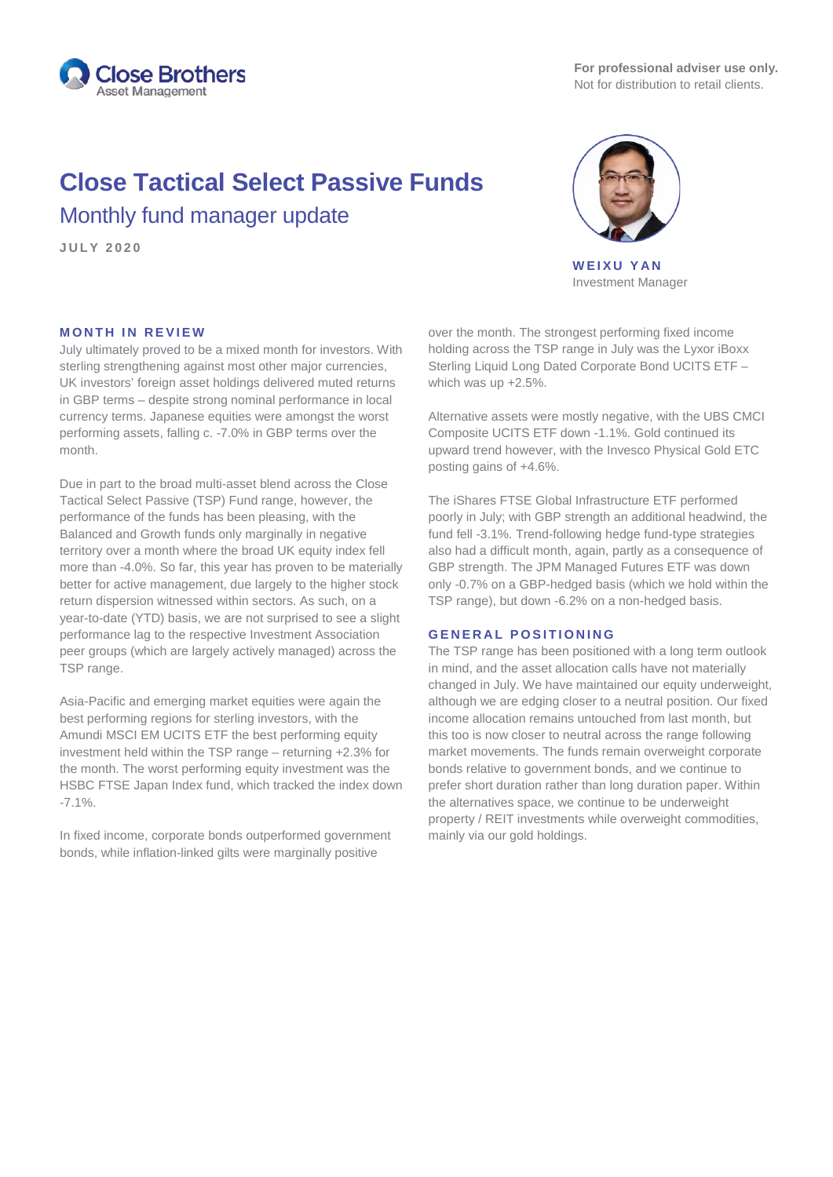

# **Close Tactical Select Passive Funds** Monthly fund manager update

**JULY 2 0 2 0**



**WEIXU YAN** Investment Manager

## **MONTH IN REVIEW**

July ultimately proved to be a mixed month for investors. With sterling strengthening against most other major currencies, UK investors' foreign asset holdings delivered muted returns in GBP terms – despite strong nominal performance in local currency terms. Japanese equities were amongst the worst performing assets, falling c. -7.0% in GBP terms over the month.

Due in part to the broad multi-asset blend across the Close Tactical Select Passive (TSP) Fund range, however, the performance of the funds has been pleasing, with the Balanced and Growth funds only marginally in negative territory over a month where the broad UK equity index fell more than -4.0%. So far, this year has proven to be materially better for active management, due largely to the higher stock return dispersion witnessed within sectors. As such, on a year-to-date (YTD) basis, we are not surprised to see a slight performance lag to the respective Investment Association peer groups (which are largely actively managed) across the TSP range.

Asia-Pacific and emerging market equities were again the best performing regions for sterling investors, with the Amundi MSCI EM UCITS ETF the best performing equity investment held within the TSP range – returning +2.3% for the month. The worst performing equity investment was the HSBC FTSE Japan Index fund, which tracked the index down -7.1%.

In fixed income, corporate bonds outperformed government bonds, while inflation-linked gilts were marginally positive

over the month. The strongest performing fixed income holding across the TSP range in July was the Lyxor iBoxx Sterling Liquid Long Dated Corporate Bond UCITS ETF – which was up +2.5%.

Alternative assets were mostly negative, with the UBS CMCI Composite UCITS ETF down -1.1%. Gold continued its upward trend however, with the Invesco Physical Gold ETC posting gains of +4.6%.

The iShares FTSE Global Infrastructure ETF performed poorly in July; with GBP strength an additional headwind, the fund fell -3.1%. Trend-following hedge fund-type strategies also had a difficult month, again, partly as a consequence of GBP strength. The JPM Managed Futures ETF was down only -0.7% on a GBP-hedged basis (which we hold within the TSP range), but down -6.2% on a non-hedged basis.

### **GENERAL POSITIONING**

The TSP range has been positioned with a long term outlook in mind, and the asset allocation calls have not materially changed in July. We have maintained our equity underweight, although we are edging closer to a neutral position. Our fixed income allocation remains untouched from last month, but this too is now closer to neutral across the range following market movements. The funds remain overweight corporate bonds relative to government bonds, and we continue to prefer short duration rather than long duration paper. Within the alternatives space, we continue to be underweight property / REIT investments while overweight commodities, mainly via our gold holdings.